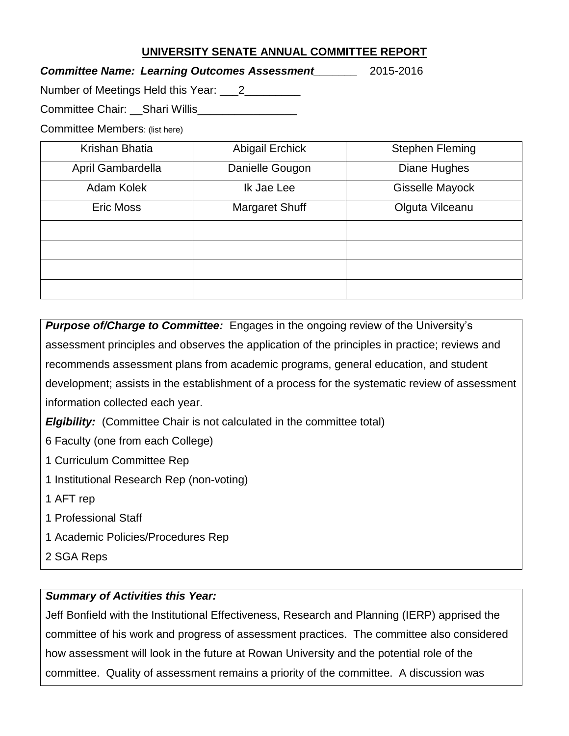## **UNIVERSITY SENATE ANNUAL COMMITTEE REPORT**

## *Committee Name: Learning Outcomes Assessment\_\_\_\_\_\_\_* 2015-2016

Number of Meetings Held this Year: 12\_\_\_\_\_\_\_\_\_

Committee Chair: \_\_Shari Willis\_\_\_\_\_\_\_\_\_\_\_\_\_\_\_\_\_

Committee Members: (list here)

| Krishan Bhatia    | <b>Abigail Erchick</b> | <b>Stephen Fleming</b> |
|-------------------|------------------------|------------------------|
| April Gambardella | Danielle Gougon        | Diane Hughes           |
| Adam Kolek        | Ik Jae Lee             | Gisselle Mayock        |
| <b>Eric Moss</b>  | Margaret Shuff         | Olguta Vilceanu        |
|                   |                        |                        |
|                   |                        |                        |
|                   |                        |                        |
|                   |                        |                        |

*Purpose of/Charge to Committee:* Engages in the ongoing review of the University's assessment principles and observes the application of the principles in practice; reviews and recommends assessment plans from academic programs, general education, and student development; assists in the establishment of a process for the systematic review of assessment information collected each year.

*Elgibility:* (Committee Chair is not calculated in the committee total)

6 Faculty (one from each College)

1 Curriculum Committee Rep

- 1 Institutional Research Rep (non-voting)
- 1 AFT rep
- 1 Professional Staff
- 1 Academic Policies/Procedures Rep
- 2 SGA Reps

## *Summary of Activities this Year:*

Jeff Bonfield with the Institutional Effectiveness, Research and Planning (IERP) apprised the committee of his work and progress of assessment practices. The committee also considered how assessment will look in the future at Rowan University and the potential role of the committee. Quality of assessment remains a priority of the committee. A discussion was